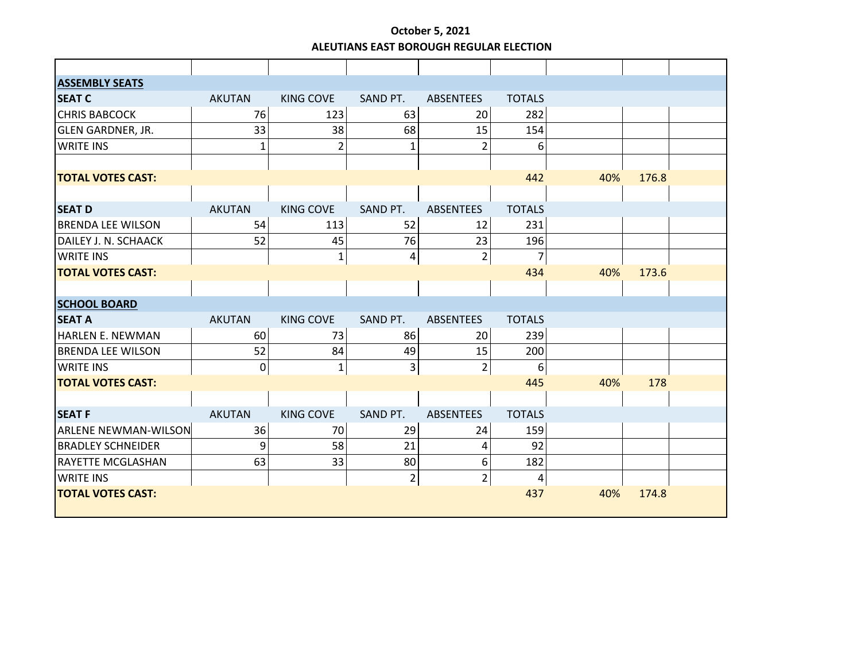## **October 5, 2021 ALEUTIANS EAST BOROUGH REGULAR ELECTION**

| <b>ASSEMBLY SEATS</b>       |               |                  |                |                  |                  |     |       |  |
|-----------------------------|---------------|------------------|----------------|------------------|------------------|-----|-------|--|
| <b>SEAT C</b>               | <b>AKUTAN</b> | <b>KING COVE</b> | SAND PT.       | <b>ABSENTEES</b> | <b>TOTALS</b>    |     |       |  |
| <b>CHRIS BABCOCK</b>        | 76            | 123              | 63             | 20               | 282              |     |       |  |
| <b>GLEN GARDNER, JR.</b>    | 33            | 38               | 68             | 15               | 154              |     |       |  |
| <b>WRITE INS</b>            | $\mathbf{1}$  | $\overline{2}$   | 1              | $\overline{2}$   | 6                |     |       |  |
|                             |               |                  |                |                  |                  |     |       |  |
| <b>TOTAL VOTES CAST:</b>    |               |                  |                |                  | 442              | 40% | 176.8 |  |
|                             |               |                  |                |                  |                  |     |       |  |
| <b>SEAT D</b>               | <b>AKUTAN</b> | <b>KING COVE</b> | SAND PT.       | <b>ABSENTEES</b> | <b>TOTALS</b>    |     |       |  |
| <b>BRENDA LEE WILSON</b>    | 54            | 113              | 52             | 12               | 231              |     |       |  |
| DAILEY J. N. SCHAACK        | 52            | 45               | 76             | 23               | 196              |     |       |  |
| <b>WRITE INS</b>            |               | 1                | 4              | $\overline{2}$   | $\overline{7}$   |     |       |  |
| <b>TOTAL VOTES CAST:</b>    |               |                  |                |                  | 434              | 40% | 173.6 |  |
|                             |               |                  |                |                  |                  |     |       |  |
| <b>SCHOOL BOARD</b>         |               |                  |                |                  |                  |     |       |  |
| <b>SEAT A</b>               | <b>AKUTAN</b> | <b>KING COVE</b> | SAND PT.       | <b>ABSENTEES</b> | <b>TOTALS</b>    |     |       |  |
| <b>HARLEN E. NEWMAN</b>     | 60            | 73               | 86             | 20               | 239              |     |       |  |
| <b>BRENDA LEE WILSON</b>    | 52            | 84               | 49             | 15               | 200              |     |       |  |
| <b>WRITE INS</b>            | 0             | $\mathbf{1}$     | 3              | $\overline{2}$   | $\boldsymbol{6}$ |     |       |  |
| <b>TOTAL VOTES CAST:</b>    |               |                  |                |                  | 445              | 40% | 178   |  |
|                             |               |                  |                |                  |                  |     |       |  |
| <b>SEAT F</b>               | <b>AKUTAN</b> | <b>KING COVE</b> | SAND PT.       | <b>ABSENTEES</b> | <b>TOTALS</b>    |     |       |  |
| <b>ARLENE NEWMAN-WILSON</b> | 36            | 70               | 29             | 24               | 159              |     |       |  |
| <b>BRADLEY SCHNEIDER</b>    | 9             | 58               | 21             | 4                | 92               |     |       |  |
| <b>RAYETTE MCGLASHAN</b>    | 63            | 33               | 80             | 6                | 182              |     |       |  |
| <b>WRITE INS</b>            |               |                  | $\overline{2}$ | $\overline{2}$   | $\overline{4}$   |     |       |  |
| <b>TOTAL VOTES CAST:</b>    |               |                  |                |                  | 437              | 40% | 174.8 |  |
|                             |               |                  |                |                  |                  |     |       |  |